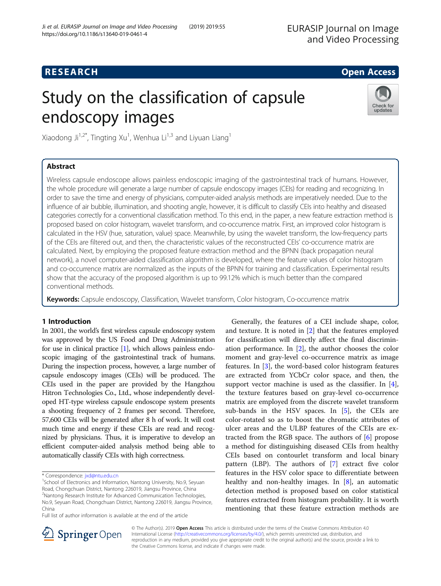# **RESEARCH CHE Open Access**

# Study on the classification of capsule endoscopy images



Xiaodong Ji $^{1,2^{\ast}}$ , Tingting Xu $^{1}$ , Wenhua Li $^{1,3}$  and Liyuan Liang $^{1}$ 

# Abstract

Wireless capsule endoscope allows painless endoscopic imaging of the gastrointestinal track of humans. However, the whole procedure will generate a large number of capsule endoscopy images (CEIs) for reading and recognizing. In order to save the time and energy of physicians, computer-aided analysis methods are imperatively needed. Due to the influence of air bubble, illumination, and shooting angle, however, it is difficult to classify CEIs into healthy and diseased categories correctly for a conventional classification method. To this end, in the paper, a new feature extraction method is proposed based on color histogram, wavelet transform, and co-occurrence matrix. First, an improved color histogram is calculated in the HSV (hue, saturation, value) space. Meanwhile, by using the wavelet transform, the low-frequency parts of the CEIs are filtered out, and then, the characteristic values of the reconstructed CEIs' co-occurrence matrix are calculated. Next, by employing the proposed feature extraction method and the BPNN (back propagation neural network), a novel computer-aided classification algorithm is developed, where the feature values of color histogram and co-occurrence matrix are normalized as the inputs of the BPNN for training and classification. Experimental results show that the accuracy of the proposed algorithm is up to 99.12% which is much better than the compared conventional methods.

Keywords: Capsule endoscopy, Classification, Wavelet transform, Color histogram, Co-occurrence matrix

# 1 Introduction

In 2001, the world's first wireless capsule endoscopy system was approved by the US Food and Drug Administration for use in clinical practice [\[1\]](#page-6-0), which allows painless endoscopic imaging of the gastrointestinal track of humans. During the inspection process, however, a large number of capsule endoscopy images (CEIs) will be produced. The CEIs used in the paper are provided by the Hangzhou Hitron Technologies Co., Ltd., whose independently developed HT-type wireless capsule endoscope system presents a shooting frequency of 2 frames per second. Therefore, 57,600 CEIs will be generated after 8 h of work. It will cost much time and energy if these CEIs are read and recognized by physicians. Thus, it is imperative to develop an efficient computer-aided analysis method being able to automatically classify CEIs with high correctness.

Full list of author information is available at the end of the article

Generally, the features of a CEI include shape, color, and texture. It is noted in [\[2](#page-6-0)] that the features employed for classification will directly affect the final discrimination performance. In [[2\]](#page-6-0), the author chooses the color moment and gray-level co-occurrence matrix as image features. In [\[3](#page-6-0)], the word-based color histogram features are extracted from YCbCr color space, and then, the support vector machine is used as the classifier. In  $[4]$  $[4]$ , the texture features based on gray-level co-occurrence matrix are employed from the discrete wavelet transform sub-bands in the HSV spaces. In  $[5]$  $[5]$ , the CEIs are color-rotated so as to boost the chromatic attributes of ulcer areas and the ULBP features of the CEIs are extracted from the RGB space. The authors of [[6](#page-6-0)] propose a method for distinguishing diseased CEIs from healthy CEIs based on contourlet transform and local binary pattern (LBP). The authors of [[7\]](#page-6-0) extract five color features in the HSV color space to differentiate between healthy and non-healthy images. In [\[8](#page-6-0)], an automatic detection method is proposed based on color statistical features extracted from histogram probability. It is worth mentioning that these feature extraction methods are



© The Author(s). 2019 Open Access This article is distributed under the terms of the Creative Commons Attribution 4.0 International License ([http://creativecommons.org/licenses/by/4.0/\)](http://creativecommons.org/licenses/by/4.0/), which permits unrestricted use, distribution, and reproduction in any medium, provided you give appropriate credit to the original author(s) and the source, provide a link to the Creative Commons license, and indicate if changes were made.

<sup>\*</sup> Correspondence: [jxd@ntu.edu.cn](mailto:jxd@ntu.edu.cn) <sup>1</sup>

<sup>&</sup>lt;sup>1</sup>School of Electronics and Information, Nantong University, No.9, Seyuan Road, Chongchuan District, Nantong 226019, Jiangsu Province, China 2 Nantong Research Institute for Advanced Communication Technologies, No.9, Seyuan Road, Chongchuan District, Nantong 226019, Jiangsu Province, China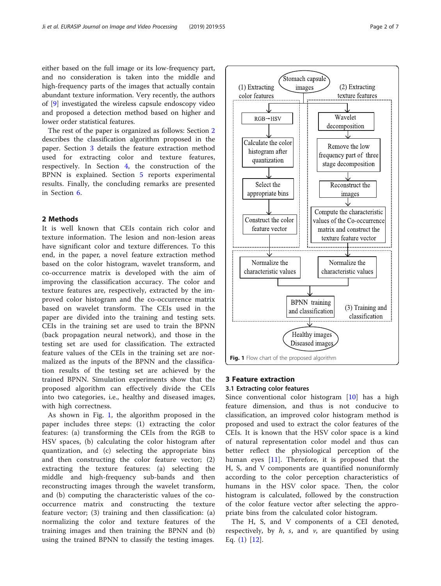either based on the full image or its low-frequency part, and no consideration is taken into the middle and high-frequency parts of the images that actually contain abundant texture information. Very recently, the authors of [[9\]](#page-6-0) investigated the wireless capsule endoscopy video and proposed a detection method based on higher and lower order statistical features.

The rest of the paper is organized as follows: Section 2 describes the classification algorithm proposed in the paper. Section 3 details the feature extraction method used for extracting color and texture features, respectively. In Section [4](#page-4-0), the construction of the BPNN is explained. Section [5](#page-4-0) reports experimental results. Finally, the concluding remarks are presented in Section [6.](#page-6-0)

# 2 Methods

It is well known that CEIs contain rich color and texture information. The lesion and non-lesion areas have significant color and texture differences. To this end, in the paper, a novel feature extraction method based on the color histogram, wavelet transform, and co-occurrence matrix is developed with the aim of improving the classification accuracy. The color and texture features are, respectively, extracted by the improved color histogram and the co-occurrence matrix based on wavelet transform. The CEIs used in the paper are divided into the training and testing sets. CEIs in the training set are used to train the BPNN (back propagation neural network), and those in the testing set are used for classification. The extracted feature values of the CEIs in the training set are normalized as the inputs of the BPNN and the classification results of the testing set are achieved by the trained BPNN. Simulation experiments show that the proposed algorithm can effectively divide the CEIs into two categories, i.e., healthy and diseased images, with high correctness.

As shown in Fig. 1, the algorithm proposed in the paper includes three steps: (1) extracting the color features: (a) transforming the CEIs from the RGB to HSV spaces, (b) calculating the color histogram after quantization, and (c) selecting the appropriate bins and then constructing the color feature vector; (2) extracting the texture features: (a) selecting the middle and high-frequency sub-bands and then reconstructing images through the wavelet transform, and (b) computing the characteristic values of the cooccurrence matrix and constructing the texture feature vector; (3) training and then classification: (a) normalizing the color and texture features of the training images and then training the BPNN and (b) using the trained BPNN to classify the testing images.



#### 3 Feature extraction

#### 3.1 Extracting color features

Since conventional color histogram [[10\]](#page-6-0) has a high feature dimension, and thus is not conducive to classification, an improved color histogram method is proposed and used to extract the color features of the CEIs. It is known that the HSV color space is a kind of natural representation color model and thus can better reflect the physiological perception of the human eyes [[11\]](#page-6-0). Therefore, it is proposed that the H, S, and V components are quantified nonuniformly according to the color perception characteristics of humans in the HSV color space. Then, the color histogram is calculated, followed by the construction of the color feature vector after selecting the appropriate bins from the calculated color histogram.

The H, S, and V components of a CEI denoted, respectively, by  $h$ ,  $s$ , and  $v$ , are quantified by using Eq. ([1](#page-2-0)) [\[12](#page-6-0)].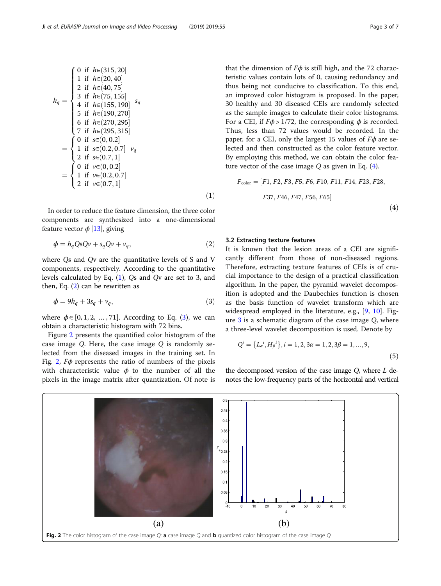<span id="page-2-0"></span>
$$
h_q = \begin{cases}\n0 & \text{if } h \in (315, 20] \\
1 & \text{if } h \in (20, 40] \\
2 & \text{if } h \in (40, 75] \\
3 & \text{if } h \in (75, 155] \\
4 & \text{if } h \in (155, 190] \\
5 & \text{if } h \in (190, 270] \\
6 & \text{if } h \in (270, 295] \\
7 & \text{if } h \in (295, 315] \\
1 & \text{if } s \in (0, 0.2] \\
2 & \text{if } s \in (0.2, 0.7] \\
2 & \text{if } v \in (0, 0.2] \\
1 & \text{if } v \in (0, 0.2] \\
2 & \text{if } v \in (0.2, 0.7] \\
2 & \text{if } v \in (0.2, 0.7]\n\end{cases}
$$
\n(1)

In order to reduce the feature dimension, the three color components are synthesized into a one-dimensional feature vector  $\phi$  [\[13\]](#page-6-0), giving

$$
\phi = h_q Q s Q \nu + s_q Q \nu + \nu_q, \tag{2}
$$

where Qs and Qv are the quantitative levels of S and V components, respectively. According to the quantitative levels calculated by Eq. (1), Qs and Qv are set to 3, and then, Eq. (2) can be rewritten as

$$
\phi = 9h_q + 3s_q + v_q,\tag{3}
$$

where  $\phi \in [0, 1, 2, \ldots, 71]$ . According to Eq. (3), we can obtain a characteristic histogram with 72 bins.

Figure 2 presents the quantified color histogram of the case image Q. Here, the case image Q is randomly selected from the diseased images in the training set. In Fig. 2, Fϕ represents the ratio of numbers of the pixels with characteristic value  $\phi$  to the number of all the pixels in the image matrix after quantization. Of note is that the dimension of  $F\phi$  is still high, and the 72 characteristic values contain lots of 0, causing redundancy and thus being not conducive to classification. To this end, an improved color histogram is proposed. In the paper, 30 healthy and 30 diseased CEIs are randomly selected as the sample images to calculate their color histograms. For a CEI, if  $F\phi > 1/72$ , the corresponding  $\phi$  is recorded. Thus, less than 72 values would be recorded. In the paper, for a CEI, only the largest 15 values of  $F\phi$  are selected and then constructed as the color feature vector. By employing this method, we can obtain the color feature vector of the case image  $Q$  as given in Eq.  $(4)$ .

$$
F_{\text{color}} = [F1, F2, F3, F5, F6, F10, F11, F14, F23, F28,
$$
  
 F37, F46, F47, F56, F65] (4)

#### 3.2 Extracting texture features

 $\sim$ 

It is known that the lesion areas of a CEI are significantly different from those of non-diseased regions. Therefore, extracting texture features of CEIs is of crucial importance to the design of a practical classification algorithm. In the paper, the pyramid wavelet decomposition is adopted and the Daubechies function is chosen as the basis function of wavelet transform which are widespread employed in the literature, e.g., [[9](#page-6-0), [10](#page-6-0)]. Figure  $3$  is a schematic diagram of the case image  $Q$ , where a three-level wavelet decomposition is used. Denote by

$$
Q^{i} = \{L_{\alpha}^{i}, H_{\beta}^{i}\}, i = 1, 2, 3\alpha = 1, 2, 3\beta = 1, ..., 9,
$$
\n(5)

the decomposed version of the case image  $Q$ , where  $L$  denotes the low-frequency parts of the horizontal and vertical

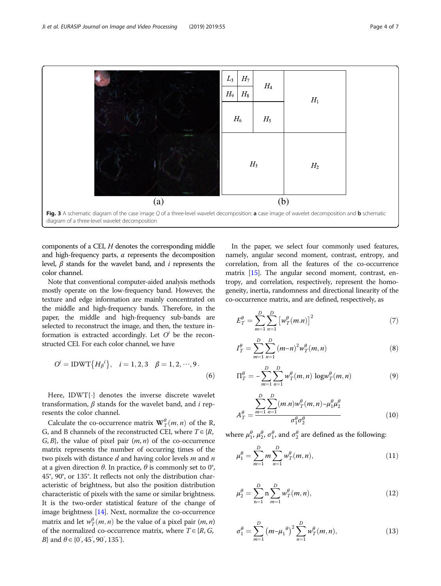<span id="page-3-0"></span>

components of a CEI, H denotes the corresponding middle and high-frequency parts,  $\alpha$  represents the decomposition level,  $\beta$  stands for the wavelet band, and *i* represents the color channel.

Note that conventional computer-aided analysis methods mostly operate on the low-frequency band. However, the texture and edge information are mainly concentrated on the middle and high-frequency bands. Therefore, in the paper, the middle and high-frequency sub-bands are selected to reconstruct the image, and then, the texture information is extracted accordingly. Let  $O^i$  be the reconstructed CEI. For each color channel, we have

$$
Oi = IDWT{H\betai}, i = 1, 2, 3 \quad \beta = 1, 2, \cdots, 9.
$$
 (6)

Here, IDWT{⋅} denotes the inverse discrete wavelet transformation,  $β$  stands for the wavelet band, and *i* represents the color channel.

Calculate the co-occurrence matrix  $\mathbf{W}_T^{\theta}(m, n)$  of the R, and B channels of the reconstructed CEI where  $T \in I_R$ G, and B channels of the reconstructed CEI, where  $T \in \{R, R\}$  $G, B$ , the value of pixel pair  $(m, n)$  of the co-occurrence matrix represents the number of occurring times of the two pixels with distance  $d$  and having color levels  $m$  and  $n$ at a given direction  $θ$ . In practice,  $θ$  is commonly set to 0°, 45°, 90°, or 135°. It reflects not only the distribution characteristic of brightness, but also the position distribution characteristic of pixels with the same or similar brightness. It is the two-order statistical feature of the change of image brightness [\[14\]](#page-6-0). Next, normalize the co-occurrence matrix and let  $w_T^{\theta}(m, n)$  be the value of a pixel pair  $(m, n)$ <br>of the normalized co-occurrence matrix, where  $T \in {^{5}R}$  G of the normalized co-occurrence matrix, where  $T \in \{R, G, \}$ *B*} and  $\theta \in \{0, 45, 90, 135\}$ .

In the paper, we select four commonly used features, namely, angular second moment, contrast, entropy, and correlation, from all the features of the co-occurrence matrix [[15](#page-6-0)]. The angular second moment, contrast, entropy, and correlation, respectively, represent the homogeneity, inertia, randomness and directional linearity of the co-occurrence matrix, and are defined, respectively, as

$$
E_T^{\theta} = \sum_{m=1}^{D} \sum_{n=1}^{D} \left[ w_T^{\theta}(m.n) \right]^2 \tag{7}
$$

$$
I_T^{\theta} = \sum_{m=1}^{D} \sum_{n=1}^{D} (m-n)^2 w_T^{\theta}(m,n)
$$
 (8)

$$
\Pi_T^{\theta} = -\sum_{m=1}^{D} \sum_{n=1}^{D} w_T^{\theta}(m, n) \log w_T^{\theta}(m, n)
$$
 (9)

$$
A_T^{\theta} = \frac{\sum_{m=1}^{D} \sum_{n=1}^{D} (m.n) w_T^{\theta} (m,n) - \mu_1^{\theta} \mu_2^{\theta}}{\sigma_1^{\theta} \sigma_2^{\theta}}
$$
(10)

where  $\mu_1^{\theta}$ ,  $\mu_2^{\theta}$ ,  $\sigma_1^{\theta}$ , and  $\sigma_2^{\theta}$  are defined as the following:

$$
\mu_1^{\theta} = \sum_{m=1}^{D} m \sum_{n=1}^{D} w_T^{\theta}(m, n), \qquad (11)
$$

$$
\mu_2^{\theta} = \sum_{n=1}^{D} n \sum_{m=1}^{D} w_T^{\theta}(m, n), \qquad (12)
$$

$$
\sigma_1^{\theta} = \sum_{m=1}^{D} (m - \mu_1^{\theta})^2 \sum_{n=1}^{D} w_T^{\theta}(m, n),
$$
 (13)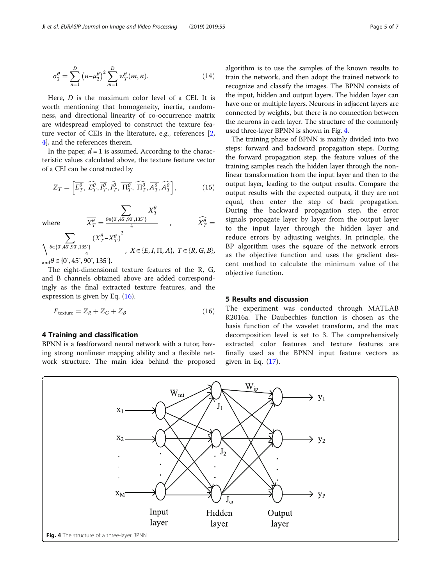<span id="page-4-0"></span>
$$
\sigma_2^{\theta} = \sum_{n=1}^{D} (n - \mu_2^{\theta})^2 \sum_{m=1}^{D} w_T^{\theta}(m, n).
$$
 (14)

Here, D is the maximum color level of a CEI. It is worth mentioning that homogeneity, inertia, randomness, and directional linearity of co-occurrence matrix are widespread employed to construct the texture feature vector of CEIs in the literature, e.g., references [\[2](#page-6-0), [4\]](#page-6-0), and the references therein.

In the paper,  $d = 1$  is assumed. According to the characteristic values calculated above, the texture feature vector of a CEI can be constructed by

$$
Z_T = \left[\overline{E_T^{\theta}}, \,\widehat{E_T^{\theta}}, \overline{I_T^{\theta}}, \overline{I_T^{\theta}}, \,\overline{\Pi_T^{\theta}}, \,\widehat{\Pi_T^{\theta}}, \overline{A_T^{\theta}}, \widehat{A_T^{\theta}}\right],\tag{15}
$$

 $X^{\theta}_{I}$ 

where

where 
$$
\overline{X_T^{\theta}} = \frac{\theta \in \{0^{\circ}, 45^{\circ}, 90^{\circ}, 135^{\circ}\}}{4}
$$
,  $\overline{X_T^{\theta}} =$   
\n $\sqrt{\frac{\sum_{\theta \in \{0^{\circ}, 45^{\circ}, 90^{\circ}, 135^{\circ}\}} (X_T^{\theta} - \overline{X_T^{\theta}})^2}{4}}$ ,  $X \in \{E, I, \Pi, A\}$ ,  $T \in \{R, G, B\}$ ,  
\n $A \subset \{0, 145^{\circ}, 90^{\circ}, 135^{\circ}\}$ 

 $\frac{\theta \in \{0, 45, 90, 135\}}{4}$ 

 $_{\text{and}}\theta \in \{0^{\degree}, 45^{\degree}, 90^{\degree}, 135^{\degree}\}.$ 

The eight-dimensional texture features of the R, G, and B channels obtained above are added correspondingly as the final extracted texture features, and the expression is given by Eq. (16).

$$
F_{\text{texture}} = Z_R + Z_G + Z_B \tag{16}
$$

### 4 Training and classification

BPNN is a feedforward neural network with a tutor, having strong nonlinear mapping ability and a flexible network structure. The main idea behind the proposed algorithm is to use the samples of the known results to train the network, and then adopt the trained network to recognize and classify the images. The BPNN consists of the input, hidden and output layers. The hidden layer can have one or multiple layers. Neurons in adjacent layers are connected by weights, but there is no connection between the neurons in each layer. The structure of the commonly used three-layer BPNN is shown in Fig. 4.

The training phase of BPNN is mainly divided into two steps: forward and backward propagation steps. During the forward propagation step, the feature values of the training samples reach the hidden layer through the nonlinear transformation from the input layer and then to the output layer, leading to the output results. Compare the output results with the expected outputs, if they are not equal, then enter the step of back propagation. During the backward propagation step, the error signals propagate layer by layer from the output layer to the input layer through the hidden layer and reduce errors by adjusting weights. In principle, the BP algorithm uses the square of the network errors as the objective function and uses the gradient descent method to calculate the minimum value of the objective function.

## 5 Results and discussion

The experiment was conducted through MATLAB R2016a. The Daubechies function is chosen as the basis function of the wavelet transform, and the max decomposition level is set to 3. The comprehensively extracted color features and texture features are finally used as the BPNN input feature vectors as given in Eq.  $(17)$  $(17)$  $(17)$ .

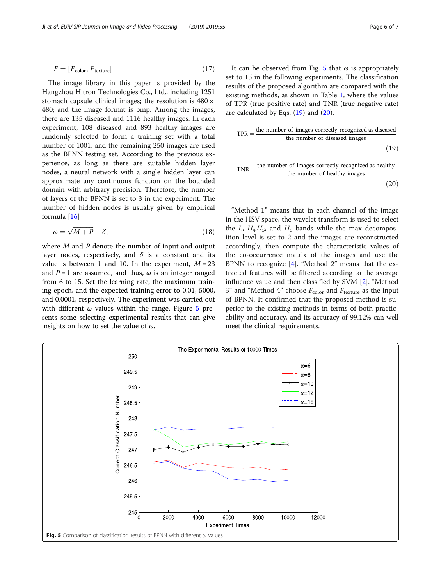<span id="page-5-0"></span>
$$
F = [F_{\text{color}}, F_{\text{texture}}]
$$
 (17)

The image library in this paper is provided by the Hangzhou Hitron Technologies Co., Ltd., including 1251 stomach capsule clinical images; the resolution is 480 × 480; and the image format is bmp. Among the images, there are 135 diseased and 1116 healthy images. In each experiment, 108 diseased and 893 healthy images are randomly selected to form a training set with a total number of 1001, and the remaining 250 images are used as the BPNN testing set. According to the previous experience, as long as there are suitable hidden layer nodes, a neural network with a single hidden layer can approximate any continuous function on the bounded domain with arbitrary precision. Therefore, the number of layers of the BPNN is set to 3 in the experiment. The number of hidden nodes is usually given by empirical formula [[16\]](#page-6-0)

$$
\omega = \sqrt{M+P} + \delta,\tag{18}
$$

where  $M$  and  $P$  denote the number of input and output layer nodes, respectively, and  $\delta$  is a constant and its value is between 1 and 10. In the experiment,  $M = 23$ and  $P = 1$  are assumed, and thus,  $\omega$  is an integer ranged from 6 to 15. Set the learning rate, the maximum training epoch, and the expected training error to 0.01, 5000, and 0.0001, respectively. The experiment was carried out with different  $\omega$  values within the range. Figure 5 presents some selecting experimental results that can give insights on how to set the value of  $\omega$ .

It can be observed from Fig. 5 that  $\omega$  is appropriately set to 15 in the following experiments. The classification results of the proposed algorithm are compared with the existing methods, as shown in Table [1,](#page-6-0) where the values of TPR (true positive rate) and TNR (true negative rate) are calculated by Eqs.  $(19)$  and  $(20)$ .

$$
TPR = \frac{\text{the number of images correctly recognized as discussed}}{\text{the number of diseaseed images}}
$$
\n(19)

$$
TNR = \frac{\text{the number of images correctly recognized as healthy}}{\text{the number of healthy images}}
$$
\n(20)

"Method 1" means that in each channel of the image in the HSV space, the wavelet transform is used to select the *L*, 
$$
H_4
$$
,  $H_5$ , and  $H_6$  bands while the max decomposition level is set to 2 and the images are reconstructed accordingly, then compute the characteristic values of the co-occurrence matrix of the images and use the BPNN to recognize [4]. "Method 2" means that the extracted features will be filtered according to the average influence value and then classified by SVM [2]. "Method 3" and "Method 4" choose  $F_{\text{color}}$  and  $F_{\text{texture}}$  as the input of BPNN. It confirmed that the proposed method is superior to the existing methods in terms of both practicability and accuracy, and its accuracy of 99.12% can well meet the clinical requirements.